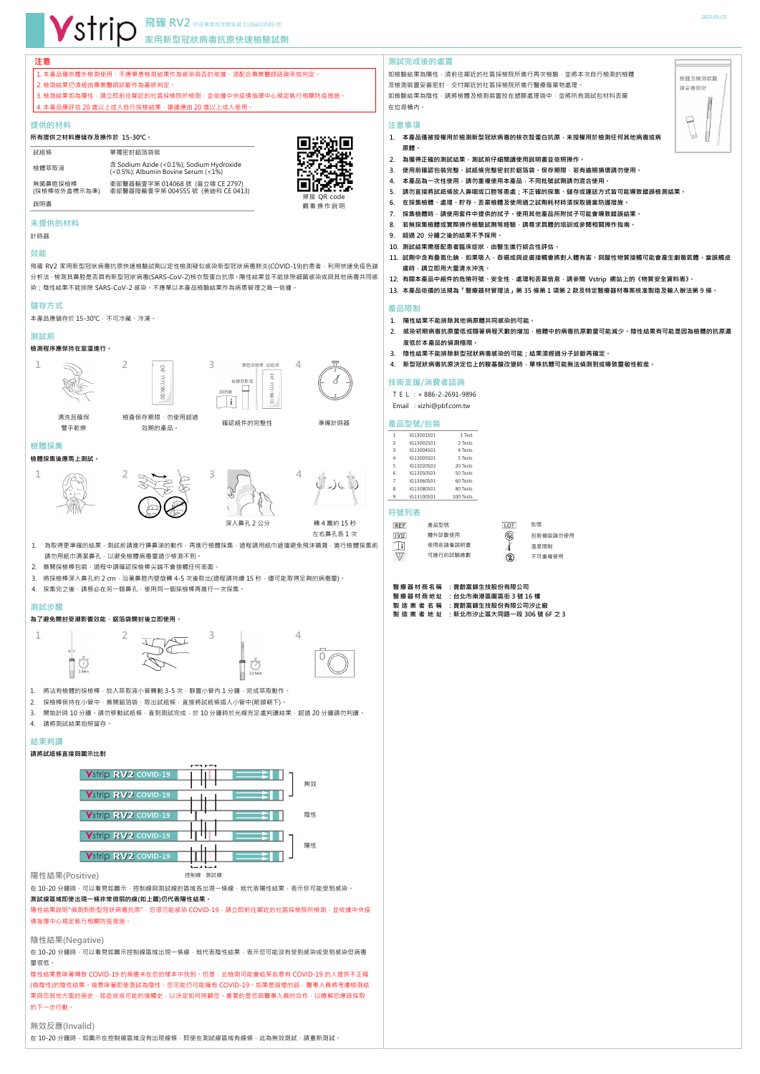## **注意**

# │1. 本產品僅供體外檢測使用,不應單憑檢測結果作為感染與否的依據,須配合專業醫師諮詢來做判定。 2. 檢測結果仍須經由專業醫師診斷作為最終判定。  $3.$ 檢測結果如為陽性,請立即前往鄰近的社區採檢院所檢測,並依據中央疫情指揮中心規定執行相關防疫措施。 4. 本產品僅評估 20 歲以上成人自行採檢結果,建議應由 20 歲以上成人使用。

飛確 RV2 家用新型冠狀病毒抗原快速檢驗試劑以定性檢測疑似感染新型冠狀病毒肺炎(COVID-19)的患者,利用快速免疫色譜 分析法,檢測其鼻腔是否具有新型冠狀病毒(SARS-CoV-2)核衣殼蛋白抗原。陽性結果並不能排除細菌感染或與其他病毒共同感 染;陰性結果不能排除 SARS-CoV-2 感染。不應單以本產品檢驗結果作為病患管理之唯一依據。

#### **提供的材料**

#### **所有提供之材料應储存及操作於 15-30℃。**

### **未提供的材料**

計時器

檢查保存期限,勿使用超過 效期的產品。

WY.

g

確認組件的完整性 すいしゃ 準備計時器

#### **效能**

深入鼻孔 2 公分 **轉 4 圈約 15 秒** 左右鼻孔各 1 次

- 1. 為取得更準確的結果,測試前請進行擤鼻涕的動作,再進行檢體採集,過程請用紙巾遮擋避免飛沫噴濺,進行檢體採集前 請勿用紙巾清潔鼻孔,以避免檢體病毒量過少檢測不到。
- 2. 撕開採檢棒包裝,過程中請確認採檢棒尖端不會接觸任何表面。
- 3. 將採檢棒深入鼻孔約 2 cm · 沿著鼻腔內壁旋轉 4-5 次後取出(過程請持續 15 秒 · 儘可能取得足夠的病毒量) ·
- 4. 採集完之後,請務必在另一個鼻孔,使用同一個採檢棒再進行一次採集。

#### **儲存方式**

本產品應儲存於 15-30℃,不可冷藏、冷凍。

# **測試前**

### **檢測程序應保持在室溫進行。**



S

 $\tilde{z}$ 



清洗且確保 雙手乾燥





#### **檢體採集**

### **檢體採集後應馬上測試。**





在 10-20 分鐘時,可以看見如圖示,控制線與測試線的區域各出現一條線,就代表陽性結果,表示你可能受到感染。 **測試線區域即使出現一條非常微弱的線(如上圖)仍代表陽性結果。**





陽性結果說明"偵測到新型冠狀病毒抗原" · 您很可能感染 COVID-19 · 請立即前往鄰近的社區採檢院所檢測 · 並依據中央疫 情指揮中心規定執行相關防疫措施。

在 10-20 分鐘時,可以看見如圖示控制線區域出現一條線,就代表陰性結果,表示您可能沒有受到感染或受到感染但病毒 量很低。

陰性結果意味著導致 COVID-19 的病毒未在您的樣本中找到。但是,此檢測可能會給某些患有 COVID-19 的人提供不正確 (偽陰性)的陰性結果。這意味著即使測試為陰性,您可能仍可能擁有 COVID-19。如果是這樣的話,醫事人員將考慮檢測結 果與您其他方面的病史,如症狀或可能的接觸史,以決定如何照顧您。重要的是您與醫事人員的合作,以瞭解您應該採取 的下一步行動。

# **測試步驟**

# 為了避免開封受潮影響效能,鋁箔袋開封後立即使用。



1. 將沾有檢體的採檢棒,放入萃取液小管轉動 3-5 次,靜置小管內 1 分鐘,完成萃取動作。

- 2. 採檢棒保持在小管中,撕開鋁箔袋,取出試紙條,直接將試紙條插入小管中(箭頭朝下)。
- 3. 開始計時 10 分鐘。請勿移動試紙條,直到測試完成,於 10 分鐘時於光線充足處判讀結果,超過 20 分鐘請勿判讀。

如檢驗結果為陽性,須前往鄰近的社區採檢院所進行再次檢驗,並將本次自行檢測的檢體 及檢測裝置妥善密封,交付鄰近的社區採檢院所進行醫療廢棄物處理。 切檢驗結果為陰性,請將檢體及檢測裝置放在塑膠處理袋中,並將所有測試包材料丟棄 在垃圾桶內。

# 4. 請將測試結果拍照留存。

# **結果判讀**

# **請將試紙條直接與圖示比對**

**陽性結果(Positive)**

**陰性結果(Negative)**

TEL :+ 886-2-2691-9896 Email: xizhi@pbf.com.tw

**無效反應(Invalid)**

在 10-20 分鐘時,如圖示在控制線區域沒有出現線條,即使在測試線區域有線條,此為無效測試,請重新測試。

| 試紙條                     | 單獨密封鋁箔袋裝                                                                        |
|-------------------------|---------------------------------------------------------------------------------|
| 檢體萃取液                   | 含 Sodium Azide (<0.1%); Sodium Hydroxide<br>(<0.5%); Albumin Bovine Serum (<1%) |
| 無菌鼻腔採檢棒<br>(採檢棒依外盒標示為準) | 衛部醫器輸壹字第 014068 號(普立頓 CE 2797)<br>衛部醫器陸輸壹字第 004555 號 (美迪科 CE 0413)              |
| 說明書                     |                                                                                 |

### **測試完成後的處置**

#### **注意事項**

- **1. 本產品僅被授權用於檢測新型冠狀病毒的核衣殼蛋白抗原,未授權用於檢測任何其他病毒或病 原體。**
- 2. 為獲得正確的測試結果,測試前仔細閱讀使用說明書並依照操作。
- **3. 使用前確認包裝完整、試紙條完整密封於鋁箔袋、保存期限,若有逾期損壞請勿使用。**
- 4. 本產品為一次性使用,請勿重複使用本產品,不同批號試劑請勿混合使用。
- **5. 請勿直接將試紙條放入鼻咽或口腔等患處;不正確的採集、儲存或運送方式皆可能導致錯誤檢測結果。**
- **6. 在採集檢體、處理、貯存、丟棄檢體及使用過之試劑耗材時須採取適當防護措施。**
- **7. 採集檢體時,請使用套件中提供的拭子。使用其他產品所附拭子可能會導致錯誤結果。**
- 8. 若無採集檢體或實際操作檢驗試劑等經驗,請尋求具體的培訓或參閱相關操作指南
- **9. 超過 20 分鐘之後的結果不予採用。**
- **10. 測試結果需搭配患者臨床症狀,由醫生進行綜合性評估。**
- **11. 試劑中含有疊氮化鈉,如果吸入,吞嚥或與皮膚接觸會將對人體有害。與酸性物質接觸可能會產生劇毒氣體。當誤觸皮 膚時,請立即用大量清水沖洗。**
- **12. 有關本產品中組件的危險符號、安全性,處理和丟棄信息,請參閱 Vstrip 網站上的《物質安全資料表》。**
- **13. 本產品依循的法規為「醫療器材管理法」第 35 條第 1 項第 2 款及特定醫療器材專案核准製造及輸入辦法第 9 條。**

#### **產品限制**

- **1. 陽性結果不能排除其他病原體共同感染的可能。**
- **2. 感染初期病毒抗原量低或隨著病程天數的增加,檢體中的病毒抗原數量可能減少。陰性結果有可能是因為檢體的抗原濃 度低於本產品的偵測極限。**
- **3. 陰性結果不能排除新型冠狀病毒感染的可能;結果須經過分子診斷再確定。**
- **4. 新型冠狀病毒抗原決定位上的胺基酸改變時,單株抗體可能無法偵測到或導致靈敏性較差。**

### **技術支援/消費者諮詢**

# **產品型號/包裝**

| 1              | IG13001S01 | 1 Test    |
|----------------|------------|-----------|
| $\overline{2}$ | IG13002S01 | 2 Tests   |
| 3              | IG13004S01 | 4 Tests   |
| 4              | IG13005S01 | 5 Tests   |
| 5              | IG13020S02 | 20 Tests  |
| 6              | IG13050S01 | 50 Tests  |
| 7              | IG13060S01 | 60 Tests  |
| 8              | IG13080S01 | 80 Tests  |
| 9              | IG13100S01 | 100 Tests |

# **符號列表**

| <b>REFI</b> | 產品型號     | LOT           | 批號       |
|-------------|----------|---------------|----------|
| IVD I       | 體外診斷使用   | $\circledast$ | 包裝損毀請勿使用 |
| Γli         | 使用前請看說明書 |               | 溫度限制     |
| $\sqrt{2}/$ | 可進行的試驗總數 | D             | 不可重複使用   |

### **醫療器材商名稱 :寶齡富錦生技股份有限公司 醫療器材商地址 :台北市南港區園區街 3 號 16 樓**

**製造業者 名 稱 :寶齡富錦生技股份有限公司汐止廠 製造業者 地 址 :新北市汐止區大同路一段 306 號 6F 之 3**









控制線 測試線